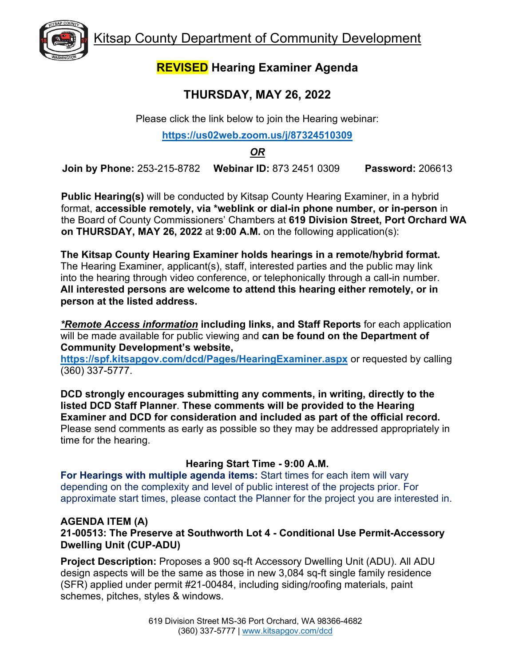Kitsap County Department of Community Development



## **REVISED Hearing Examiner Agenda**

# **THURSDAY, MAY 26, 2022**

Please click the link below to join the Hearing webinar:

#### **<https://us02web.zoom.us/j/87324510309>**

*OR* 

**Join by Phone:** 253-215-8782 **Webinar ID:** 873 2451 0309 **Password:** 206613

**Public Hearing(s)** will be conducted by Kitsap County Hearing Examiner, in a hybrid format, **accessible remotely, via \*weblink or dial-in phone number, or in-person** in the Board of County Commissioners' Chambers at **619 Division Street, Port Orchard WA on THURSDAY, MAY 26, 2022** at **9:00 A.M.** on the following application(s):

**The Kitsap County Hearing Examiner holds hearings in a remote/hybrid format.**  The Hearing Examiner, applicant(s), staff, interested parties and the public may link into the hearing through video conference, or telephonically through a call-in number. **All interested persons are welcome to attend this hearing either remotely, or in person at the listed address.**

*\*Remote Access information* **including links, and Staff Reports** for each application will be made available for public viewing and **can be found on the Department of Community Development's website,** 

**<https://spf.kitsapgov.com/dcd/Pages/HearingExaminer.aspx>** or requested by calling (360) 337-5777.

**DCD strongly encourages submitting any comments, in writing, directly to the listed DCD Staff Planner**. **These comments will be provided to the Hearing Examiner and DCD for consideration and included as part of the official record.** Please send comments as early as possible so they may be addressed appropriately in time for the hearing.

### **Hearing Start Time - 9:00 A.M.**

**For Hearings with multiple agenda items:** Start times for each item will vary depending on the complexity and level of public interest of the projects prior. For approximate start times, please contact the Planner for the project you are interested in.

#### **AGENDA ITEM (A)**

**21-00513: The Preserve at Southworth Lot 4 - Conditional Use Permit-Accessory Dwelling Unit (CUP-ADU)**

**Project Description:** Proposes a 900 sq-ft Accessory Dwelling Unit (ADU). All ADU design aspects will be the same as those in new 3,084 sq-ft single family residence (SFR) applied under permit #21-00484, including siding/roofing materials, paint schemes, pitches, styles & windows.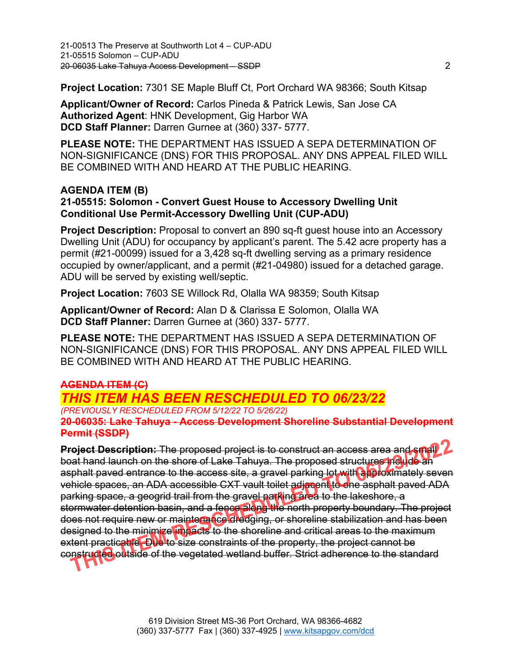**Project Location:** 7301 SE Maple Bluff Ct, Port Orchard WA 98366; South Kitsap

**Applicant/Owner of Record:** Carlos Pineda & Patrick Lewis, San Jose CA **Authorized Agent**: HNK Development, Gig Harbor WA **DCD Staff Planner:** Darren Gurnee at (360) 337- 5777.

**PLEASE NOTE:** THE DEPARTMENT HAS ISSUED A SEPA DETERMINATION OF NON-SIGNIFICANCE (DNS) FOR THIS PROPOSAL. ANY DNS APPEAL FILED WILL BE COMBINED WITH AND HEARD AT THE PUBLIC HEARING.

#### **AGENDA ITEM (B) 21-05515: Solomon - Convert Guest House to Accessory Dwelling Unit Conditional Use Permit-Accessory Dwelling Unit (CUP-ADU)**

**Project Description:** Proposal to convert an 890 sq-ft guest house into an Accessory Dwelling Unit (ADU) for occupancy by applicant's parent. The 5.42 acre property has a permit (#21-00099) issued for a 3,428 sq-ft dwelling serving as a primary residence occupied by owner/applicant, and a permit (#21-04980) issued for a detached garage. ADU will be served by existing well/septic.

**Project Location:** 7603 SE Willock Rd, Olalla WA 98359; South Kitsap

**Applicant/Owner of Record:** Alan D & Clarissa E Solomon, Olalla WA **DCD Staff Planner:** Darren Gurnee at (360) 337- 5777.

**PLEASE NOTE:** THE DEPARTMENT HAS ISSUED A SEPA DETERMINATION OF NON-SIGNIFICANCE (DNS) FOR THIS PROPOSAL. ANY DNS APPEAL FILED WILL BE COMBINED WITH AND HEARD AT THE PUBLIC HEARING.

### **AGENDA ITEM (C)**

*THIS ITEM HAS BEEN RESCHEDULED TO 06/23/22* 

*(PREVIOUSLY RESCHEDULED FROM 5/12/22 TO 5/26/22)* **20-06035: Lake Tahuya - Access Development Shoreline Substantial Development Permit (SSDP)** 

**Project Description:** The proposed project is to construct an access area and small boat hand launch on the shore of Lake Tahuya. The proposed structures include an asphalt paved entrance to the access site, a gravel parking lot with approximately seven vehicle spaces, an ADA accessible CXT vault toilet adjacent to one asphalt paved ADA parking space, a geogrid trail from the gravel parking area to the lakeshore, a stormwater detention basin, and a fence along the north property boundary. The project does not require new or maintenance dredging, or shoreline stabilization and has been designed to the minimize impacts to the shoreline and critical areas to the maximum extent practicable. Due to size constraints of the property, the project cannot be constructed outside of the vegetated wetland buffer. Strict adherence to the standard